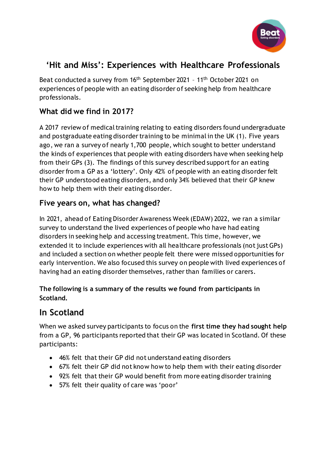

## **'Hit and Miss': Experiences with Healthcare Professionals**

Beat conducted a survey from 16<sup>th</sup> September 2021 - 11<sup>th</sup> October 2021 on experiences of people with an eating disorder of seeking help from healthcare professionals.

## **What did we find in 2017?**

A 2017 review of medical training relating to eating disorders found undergraduate and postgraduate eating disorder training to be minimal in the UK (1). Five years ago, we ran a survey of nearly 1,700 people, which sought to better understand the kinds of experiences that people with eating disorders have when seeking help from their GPs (3). The findings of this survey described support for an eating disorder from a GP as a 'lottery'. Only 42% of people with an eating disorder felt their GP understood eating disorders, and only 34% believed that their GP knew how to help them with their eating disorder.

## **Five years on, what has changed?**

In 2021, ahead of Eating Disorder Awareness Week (EDAW) 2022, we ran a similar survey to understand the lived experiences of people who have had eating disorders in seeking help and accessing treatment. This time, however, we extended it to include experiences with all healthcare professionals (not just GPs) and included a section on whether people felt there were missed opportunities for early intervention. We also focused this survey on people with lived experiences of having had an eating disorder themselves, rather than families or carers.

#### **The following is a summary of the results we found from participants in Scotland.**

# **In Scotland**

When we asked survey participants to focus on the **first time they had sought help** from a GP, 96 participants reported that their GP was located in Scotland. Of these participants:

- 46% felt that their GP did not understand eating disorders
- 67% felt their GP did not know how to help them with their eating disorder
- 92% felt that their GP would benefit from more eating disorder training
- 57% felt their quality of care was 'poor'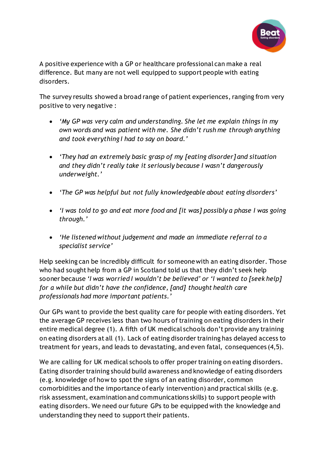

A positive experience with a GP or healthcare professional can make a real difference. But many are not well equipped to support people with eating disorders.

The survey results showed a broad range of patient experiences, ranging from very positive to very negative :

- *'My GP was very calm and understanding. She let me explain things in my own words and was patient with me. She didn't rush me through anything and took everything I had to say on board.'*
- *'They had an extremely basic grasp of my [eating disorder] and situation and they didn't really take it seriously because I wasn't dangerously underweight.'*
- *'The GP was helpful but not fully knowledgeable about eating disorders'*
- *'I was told to go and eat more food and [it was] possibly a phase I was going through.'*
- *'He listened without judgement and made an immediate referral to a specialist service'*

Help seeking can be incredibly difficult for someone with an eating disorder. Those who had sought help from a GP in Scotland told us that they didn't seek help sooner because *'I was worried I wouldn't be believed' or 'I wanted to [seek help] for a while but didn't have the confidence, [and] thought health care professionals had more important patients.'*

Our GPs want to provide the best quality care for people with eating disorders. Yet the average GP receives less than two hours of training on eating disorders in their entire medical degree (1). A fifth of UK medical schools don't provide any training on eating disorders at all (1). Lack of eating disorder training has delayed access to treatment for years, and leads to devastating, and even fatal, consequences (4,5).

We are calling for UK medical schools to offer proper training on eating disorders. Eating disorder training should build awareness and knowledge of eating disorders (e.g. knowledge of how to spot the signs of an eating disorder, common comorbidities and the importance of early intervention) and practical skills (e.g. risk assessment, examination and communications skills) to support people with eating disorders. We need our future GPs to be equipped with the knowledge and understanding they need to support their patients.